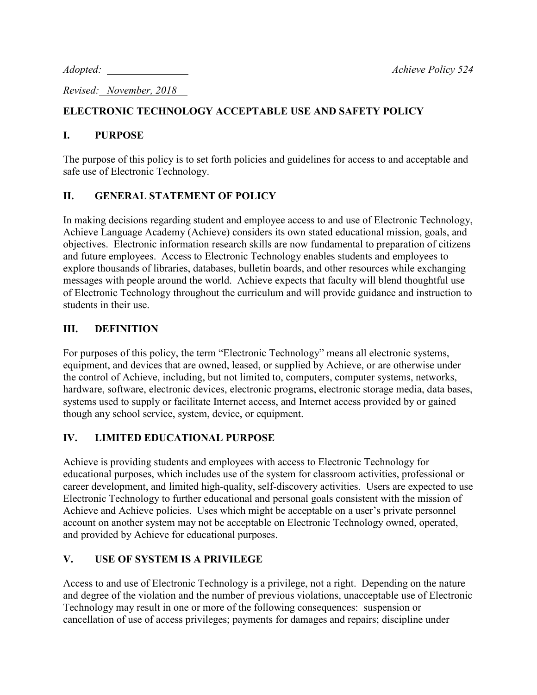*Revised: November, 2018* 

# **ELECTRONIC TECHNOLOGY ACCEPTABLE USE AND SAFETY POLICY**

### **I. PURPOSE**

The purpose of this policy is to set forth policies and guidelines for access to and acceptable and safe use of Electronic Technology.

# **II. GENERAL STATEMENT OF POLICY**

In making decisions regarding student and employee access to and use of Electronic Technology, Achieve Language Academy (Achieve) considers its own stated educational mission, goals, and objectives. Electronic information research skills are now fundamental to preparation of citizens and future employees. Access to Electronic Technology enables students and employees to explore thousands of libraries, databases, bulletin boards, and other resources while exchanging messages with people around the world. Achieve expects that faculty will blend thoughtful use of Electronic Technology throughout the curriculum and will provide guidance and instruction to students in their use.

### **III. DEFINITION**

For purposes of this policy, the term "Electronic Technology" means all electronic systems, equipment, and devices that are owned, leased, or supplied by Achieve, or are otherwise under the control of Achieve, including, but not limited to, computers, computer systems, networks, hardware, software, electronic devices, electronic programs, electronic storage media, data bases, systems used to supply or facilitate Internet access, and Internet access provided by or gained though any school service, system, device, or equipment.

#### **IV. LIMITED EDUCATIONAL PURPOSE**

Achieve is providing students and employees with access to Electronic Technology for educational purposes, which includes use of the system for classroom activities, professional or career development, and limited high-quality, self-discovery activities. Users are expected to use Electronic Technology to further educational and personal goals consistent with the mission of Achieve and Achieve policies. Uses which might be acceptable on a user's private personnel account on another system may not be acceptable on Electronic Technology owned, operated, and provided by Achieve for educational purposes.

# **V. USE OF SYSTEM IS A PRIVILEGE**

Access to and use of Electronic Technology is a privilege, not a right. Depending on the nature and degree of the violation and the number of previous violations, unacceptable use of Electronic Technology may result in one or more of the following consequences: suspension or cancellation of use of access privileges; payments for damages and repairs; discipline under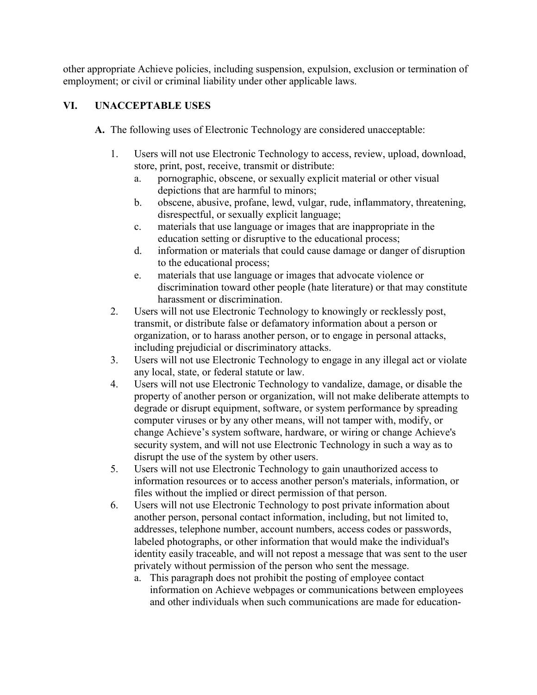other appropriate Achieve policies, including suspension, expulsion, exclusion or termination of employment; or civil or criminal liability under other applicable laws.

# **VI. UNACCEPTABLE USES**

- **A.** The following uses of Electronic Technology are considered unacceptable:
	- 1. Users will not use Electronic Technology to access, review, upload, download, store, print, post, receive, transmit or distribute:
		- a. pornographic, obscene, or sexually explicit material or other visual depictions that are harmful to minors;
		- b. obscene, abusive, profane, lewd, vulgar, rude, inflammatory, threatening, disrespectful, or sexually explicit language;
		- c. materials that use language or images that are inappropriate in the education setting or disruptive to the educational process;
		- d. information or materials that could cause damage or danger of disruption to the educational process;
		- e. materials that use language or images that advocate violence or discrimination toward other people (hate literature) or that may constitute harassment or discrimination.
	- 2. Users will not use Electronic Technology to knowingly or recklessly post, transmit, or distribute false or defamatory information about a person or organization, or to harass another person, or to engage in personal attacks, including prejudicial or discriminatory attacks.
	- 3. Users will not use Electronic Technology to engage in any illegal act or violate any local, state, or federal statute or law.
	- 4. Users will not use Electronic Technology to vandalize, damage, or disable the property of another person or organization, will not make deliberate attempts to degrade or disrupt equipment, software, or system performance by spreading computer viruses or by any other means, will not tamper with, modify, or change Achieve's system software, hardware, or wiring or change Achieve's security system, and will not use Electronic Technology in such a way as to disrupt the use of the system by other users.
	- 5. Users will not use Electronic Technology to gain unauthorized access to information resources or to access another person's materials, information, or files without the implied or direct permission of that person.
	- 6. Users will not use Electronic Technology to post private information about another person, personal contact information, including, but not limited to, addresses, telephone number, account numbers, access codes or passwords, labeled photographs, or other information that would make the individual's identity easily traceable, and will not repost a message that was sent to the user privately without permission of the person who sent the message.
		- a. This paragraph does not prohibit the posting of employee contact information on Achieve webpages or communications between employees and other individuals when such communications are made for education-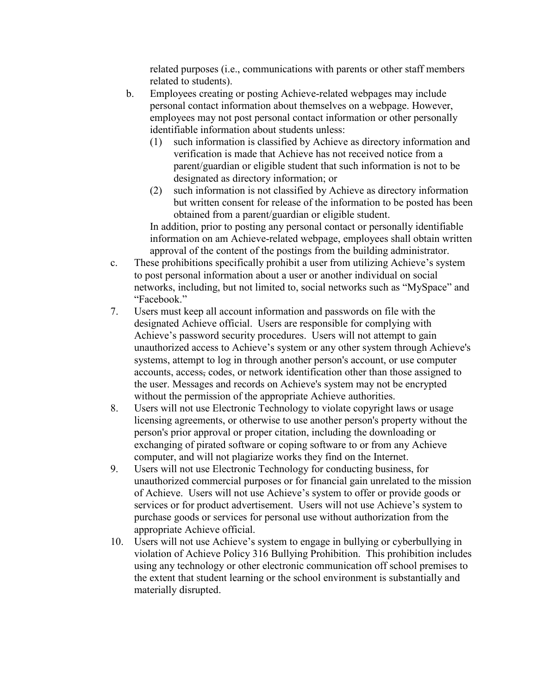related purposes (i.e., communications with parents or other staff members related to students).

- b. Employees creating or posting Achieve-related webpages may include personal contact information about themselves on a webpage. However, employees may not post personal contact information or other personally identifiable information about students unless:
	- (1) such information is classified by Achieve as directory information and verification is made that Achieve has not received notice from a parent/guardian or eligible student that such information is not to be designated as directory information; or
	- (2) such information is not classified by Achieve as directory information but written consent for release of the information to be posted has been obtained from a parent/guardian or eligible student.

In addition, prior to posting any personal contact or personally identifiable information on am Achieve-related webpage, employees shall obtain written approval of the content of the postings from the building administrator.

- c. These prohibitions specifically prohibit a user from utilizing Achieve's system to post personal information about a user or another individual on social networks, including, but not limited to, social networks such as "MySpace" and "Facebook."
- 7. Users must keep all account information and passwords on file with the designated Achieve official. Users are responsible for complying with Achieve's password security procedures. Users will not attempt to gain unauthorized access to Achieve's system or any other system through Achieve's systems, attempt to log in through another person's account, or use computer accounts, access, codes, or network identification other than those assigned to the user. Messages and records on Achieve's system may not be encrypted without the permission of the appropriate Achieve authorities.
- 8. Users will not use Electronic Technology to violate copyright laws or usage licensing agreements, or otherwise to use another person's property without the person's prior approval or proper citation, including the downloading or exchanging of pirated software or coping software to or from any Achieve computer, and will not plagiarize works they find on the Internet.
- 9. Users will not use Electronic Technology for conducting business, for unauthorized commercial purposes or for financial gain unrelated to the mission of Achieve. Users will not use Achieve's system to offer or provide goods or services or for product advertisement. Users will not use Achieve's system to purchase goods or services for personal use without authorization from the appropriate Achieve official.
- 10. Users will not use Achieve's system to engage in bullying or cyberbullying in violation of Achieve Policy 316 Bullying Prohibition. This prohibition includes using any technology or other electronic communication off school premises to the extent that student learning or the school environment is substantially and materially disrupted.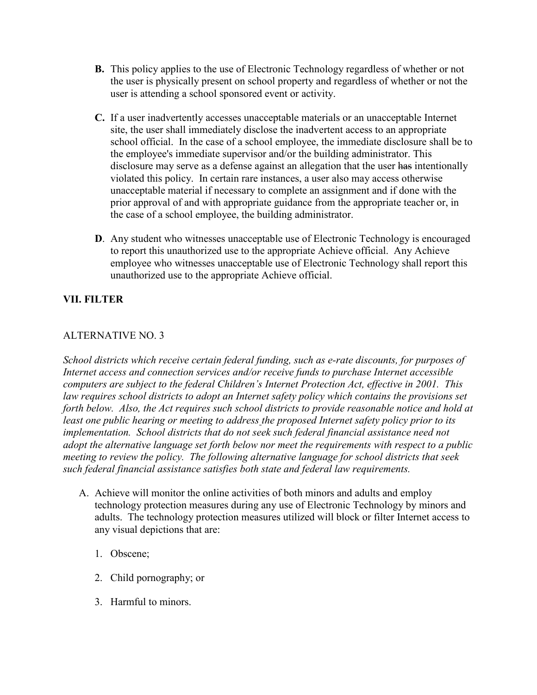- **B.** This policy applies to the use of Electronic Technology regardless of whether or not the user is physically present on school property and regardless of whether or not the user is attending a school sponsored event or activity.
- **C.** If a user inadvertently accesses unacceptable materials or an unacceptable Internet site, the user shall immediately disclose the inadvertent access to an appropriate school official. In the case of a school employee, the immediate disclosure shall be to the employee's immediate supervisor and/or the building administrator. This disclosure may serve as a defense against an allegation that the user has intentionally violated this policy. In certain rare instances, a user also may access otherwise unacceptable material if necessary to complete an assignment and if done with the prior approval of and with appropriate guidance from the appropriate teacher or, in the case of a school employee, the building administrator.
- **D**. Any student who witnesses unacceptable use of Electronic Technology is encouraged to report this unauthorized use to the appropriate Achieve official. Any Achieve employee who witnesses unacceptable use of Electronic Technology shall report this unauthorized use to the appropriate Achieve official.

# **VII. FILTER**

### ALTERNATIVE NO. 3

*School districts which receive certain federal funding, such as e-rate discounts, for purposes of Internet access and connection services and/or receive funds to purchase Internet accessible computers are subject to the federal Children's Internet Protection Act, effective in 2001. This law requires school districts to adopt an Internet safety policy which contains the provisions set forth below. Also, the Act requires such school districts to provide reasonable notice and hold at least one public hearing or meeting to address the proposed Internet safety policy prior to its implementation. School districts that do not seek such federal financial assistance need not adopt the alternative language set forth below nor meet the requirements with respect to a public meeting to review the policy. The following alternative language for school districts that seek such federal financial assistance satisfies both state and federal law requirements.*

- A. Achieve will monitor the online activities of both minors and adults and employ technology protection measures during any use of Electronic Technology by minors and adults. The technology protection measures utilized will block or filter Internet access to any visual depictions that are:
	- 1. Obscene;
	- 2. Child pornography; or
	- 3. Harmful to minors.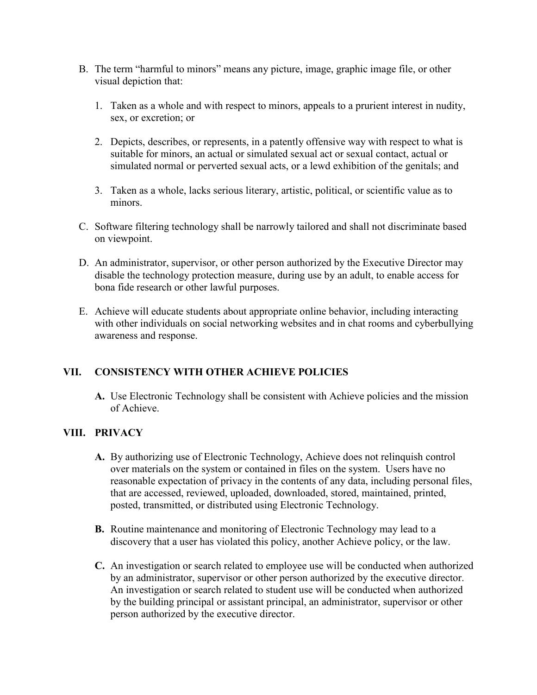- B. The term "harmful to minors" means any picture, image, graphic image file, or other visual depiction that:
	- 1. Taken as a whole and with respect to minors, appeals to a prurient interest in nudity, sex, or excretion; or
	- 2. Depicts, describes, or represents, in a patently offensive way with respect to what is suitable for minors, an actual or simulated sexual act or sexual contact, actual or simulated normal or perverted sexual acts, or a lewd exhibition of the genitals; and
	- 3. Taken as a whole, lacks serious literary, artistic, political, or scientific value as to minors.
- C. Software filtering technology shall be narrowly tailored and shall not discriminate based on viewpoint.
- D. An administrator, supervisor, or other person authorized by the Executive Director may disable the technology protection measure, during use by an adult, to enable access for bona fide research or other lawful purposes.
- E. Achieve will educate students about appropriate online behavior, including interacting with other individuals on social networking websites and in chat rooms and cyberbullying awareness and response.

# **VII. CONSISTENCY WITH OTHER ACHIEVE POLICIES**

**A.** Use Electronic Technology shall be consistent with Achieve policies and the mission of Achieve.

#### **VIII. PRIVACY**

- **A.** By authorizing use of Electronic Technology, Achieve does not relinquish control over materials on the system or contained in files on the system. Users have no reasonable expectation of privacy in the contents of any data, including personal files, that are accessed, reviewed, uploaded, downloaded, stored, maintained, printed, posted, transmitted, or distributed using Electronic Technology.
- **B.** Routine maintenance and monitoring of Electronic Technology may lead to a discovery that a user has violated this policy, another Achieve policy, or the law.
- **C.** An investigation or search related to employee use will be conducted when authorized by an administrator, supervisor or other person authorized by the executive director. An investigation or search related to student use will be conducted when authorized by the building principal or assistant principal, an administrator, supervisor or other person authorized by the executive director.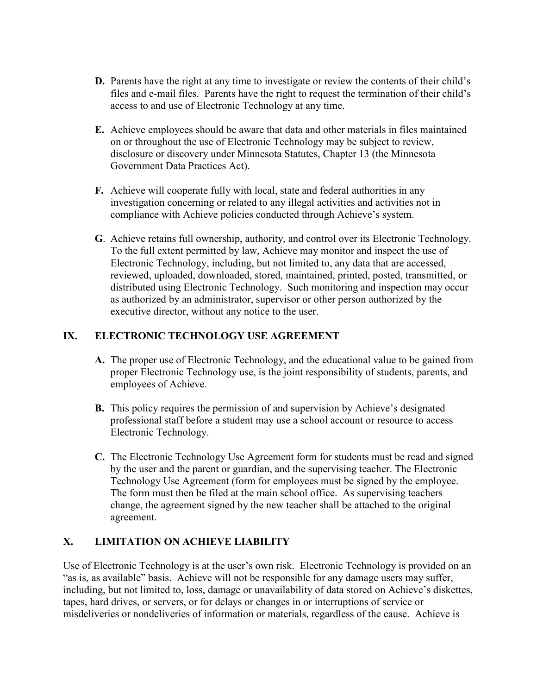- **D.** Parents have the right at any time to investigate or review the contents of their child's files and e-mail files. Parents have the right to request the termination of their child's access to and use of Electronic Technology at any time.
- **E.** Achieve employees should be aware that data and other materials in files maintained on or throughout the use of Electronic Technology may be subject to review, disclosure or discovery under Minnesota Statutes, Chapter 13 (the Minnesota Government Data Practices Act).
- **F.** Achieve will cooperate fully with local, state and federal authorities in any investigation concerning or related to any illegal activities and activities not in compliance with Achieve policies conducted through Achieve's system.
- **G**. Achieve retains full ownership, authority, and control over its Electronic Technology. To the full extent permitted by law, Achieve may monitor and inspect the use of Electronic Technology, including, but not limited to, any data that are accessed, reviewed, uploaded, downloaded, stored, maintained, printed, posted, transmitted, or distributed using Electronic Technology. Such monitoring and inspection may occur as authorized by an administrator, supervisor or other person authorized by the executive director, without any notice to the user.

### **IX. ELECTRONIC TECHNOLOGY USE AGREEMENT**

- **A.** The proper use of Electronic Technology, and the educational value to be gained from proper Electronic Technology use, is the joint responsibility of students, parents, and employees of Achieve.
- **B.** This policy requires the permission of and supervision by Achieve's designated professional staff before a student may use a school account or resource to access Electronic Technology.
- **C.** The Electronic Technology Use Agreement form for students must be read and signed by the user and the parent or guardian, and the supervising teacher. The Electronic Technology Use Agreement (form for employees must be signed by the employee. The form must then be filed at the main school office. As supervising teachers change, the agreement signed by the new teacher shall be attached to the original agreement.

# **X. LIMITATION ON ACHIEVE LIABILITY**

Use of Electronic Technology is at the user's own risk. Electronic Technology is provided on an "as is, as available" basis. Achieve will not be responsible for any damage users may suffer, including, but not limited to, loss, damage or unavailability of data stored on Achieve's diskettes, tapes, hard drives, or servers, or for delays or changes in or interruptions of service or misdeliveries or nondeliveries of information or materials, regardless of the cause. Achieve is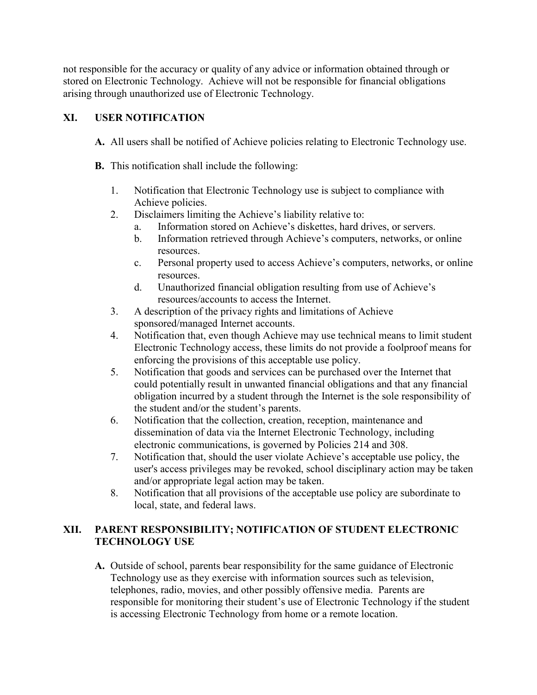not responsible for the accuracy or quality of any advice or information obtained through or stored on Electronic Technology. Achieve will not be responsible for financial obligations arising through unauthorized use of Electronic Technology.

### **XI. USER NOTIFICATION**

- **A.** All users shall be notified of Achieve policies relating to Electronic Technology use.
- **B.** This notification shall include the following:
	- 1. Notification that Electronic Technology use is subject to compliance with Achieve policies.
	- 2. Disclaimers limiting the Achieve's liability relative to:
		- a. Information stored on Achieve's diskettes, hard drives, or servers.
		- b. Information retrieved through Achieve's computers, networks, or online resources.
		- c. Personal property used to access Achieve's computers, networks, or online resources.
		- d. Unauthorized financial obligation resulting from use of Achieve's resources/accounts to access the Internet.
	- 3. A description of the privacy rights and limitations of Achieve sponsored/managed Internet accounts.
	- 4. Notification that, even though Achieve may use technical means to limit student Electronic Technology access, these limits do not provide a foolproof means for enforcing the provisions of this acceptable use policy.
	- 5. Notification that goods and services can be purchased over the Internet that could potentially result in unwanted financial obligations and that any financial obligation incurred by a student through the Internet is the sole responsibility of the student and/or the student's parents.
	- 6. Notification that the collection, creation, reception, maintenance and dissemination of data via the Internet Electronic Technology, including electronic communications, is governed by Policies 214 and 308.
	- 7. Notification that, should the user violate Achieve's acceptable use policy, the user's access privileges may be revoked, school disciplinary action may be taken and/or appropriate legal action may be taken.
	- 8. Notification that all provisions of the acceptable use policy are subordinate to local, state, and federal laws.

# **XII. PARENT RESPONSIBILITY; NOTIFICATION OF STUDENT ELECTRONIC TECHNOLOGY USE**

**A.** Outside of school, parents bear responsibility for the same guidance of Electronic Technology use as they exercise with information sources such as television, telephones, radio, movies, and other possibly offensive media. Parents are responsible for monitoring their student's use of Electronic Technology if the student is accessing Electronic Technology from home or a remote location.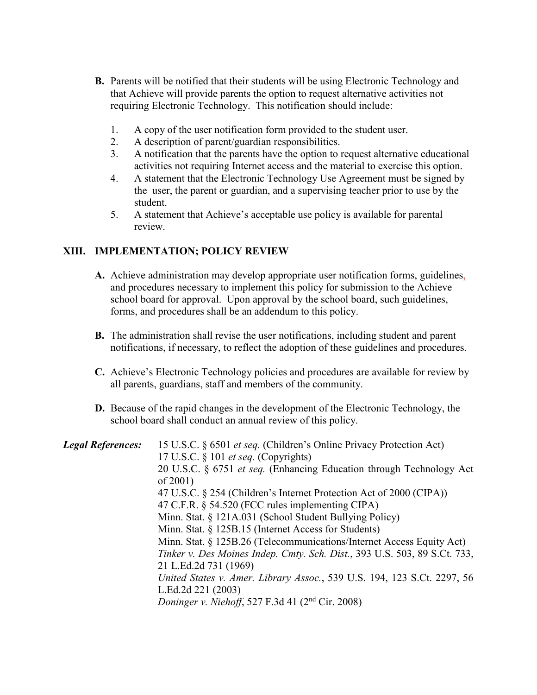- **B.** Parents will be notified that their students will be using Electronic Technology and that Achieve will provide parents the option to request alternative activities not requiring Electronic Technology. This notification should include:
	- 1. A copy of the user notification form provided to the student user.
	- 2. A description of parent/guardian responsibilities.
	- 3. A notification that the parents have the option to request alternative educational activities not requiring Internet access and the material to exercise this option.
	- 4. A statement that the Electronic Technology Use Agreement must be signed by the user, the parent or guardian, and a supervising teacher prior to use by the student.
	- 5. A statement that Achieve's acceptable use policy is available for parental review.

#### **XIII. IMPLEMENTATION; POLICY REVIEW**

- **A.** Achieve administration may develop appropriate user notification forms, guidelines, and procedures necessary to implement this policy for submission to the Achieve school board for approval. Upon approval by the school board, such guidelines, forms, and procedures shall be an addendum to this policy.
- **B.** The administration shall revise the user notifications, including student and parent notifications, if necessary, to reflect the adoption of these guidelines and procedures.
- **C.** Achieve's Electronic Technology policies and procedures are available for review by all parents, guardians, staff and members of the community.
- **D.** Because of the rapid changes in the development of the Electronic Technology, the school board shall conduct an annual review of this policy.

| <b>Legal References:</b> | 15 U.S.C. § 6501 et seq. (Children's Online Privacy Protection Act)<br>17 U.S.C. $\S$ 101 <i>et seq.</i> (Copyrights) |
|--------------------------|-----------------------------------------------------------------------------------------------------------------------|
|                          | 20 U.S.C. § 6751 et seq. (Enhancing Education through Technology Act                                                  |
|                          | of $2001$ )                                                                                                           |
|                          | 47 U.S.C. § 254 (Children's Internet Protection Act of 2000 (CIPA))                                                   |
|                          | 47 C.F.R. § 54.520 (FCC rules implementing CIPA)                                                                      |
|                          | Minn. Stat. § 121A.031 (School Student Bullying Policy)                                                               |
|                          | Minn. Stat. § 125B.15 (Internet Access for Students)                                                                  |
|                          | Minn. Stat. § 125B.26 (Telecommunications/Internet Access Equity Act)                                                 |
|                          | Tinker v. Des Moines Indep. Cmty. Sch. Dist., 393 U.S. 503, 89 S.Ct. 733,                                             |
|                          | 21 L.Ed.2d 731 (1969)                                                                                                 |
|                          | United States v. Amer. Library Assoc., 539 U.S. 194, 123 S.Ct. 2297, 56                                               |
|                          | L.Ed.2d 221 (2003)                                                                                                    |
|                          | Doninger v. Niehoff, 527 F.3d 41 $(2nd Cir. 2008)$                                                                    |